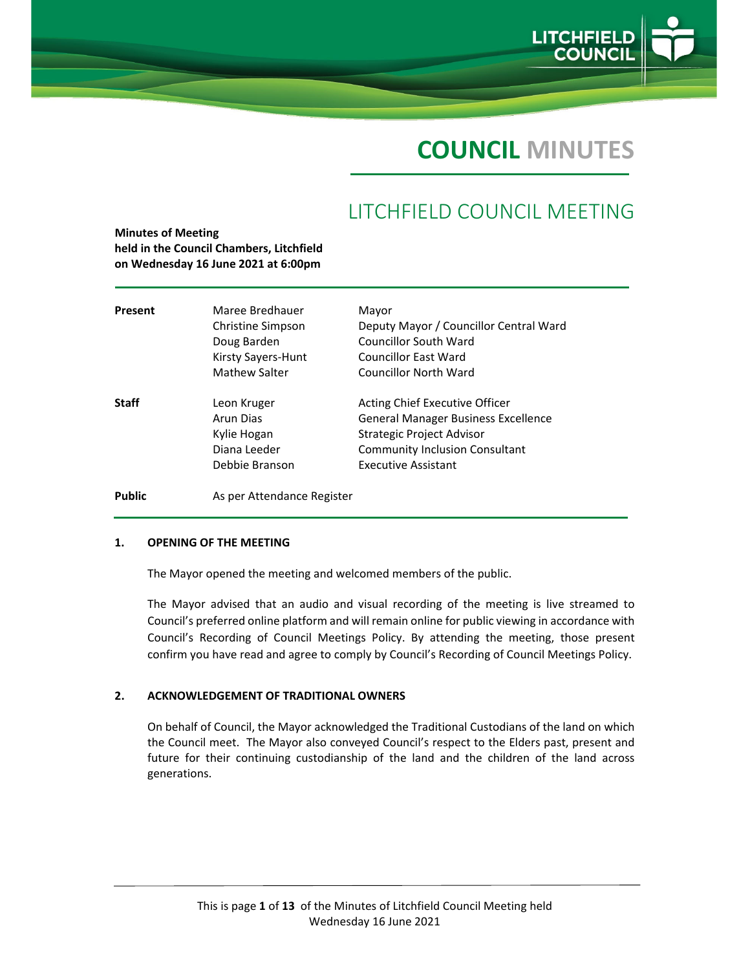

# **COUNCIL MINUTES**

## LITCHFIELD COUNCIL MEETING

| Present       | Maree Bredhauer            | Mayor                                  |
|---------------|----------------------------|----------------------------------------|
|               | Christine Simpson          | Deputy Mayor / Councillor Central Ward |
|               | Doug Barden                | Councillor South Ward                  |
|               | Kirsty Sayers-Hunt         | <b>Councillor East Ward</b>            |
|               | <b>Mathew Salter</b>       | <b>Councillor North Ward</b>           |
| <b>Staff</b>  | Leon Kruger                | Acting Chief Executive Officer         |
|               | Arun Dias                  | General Manager Business Excellence    |
|               | Kylie Hogan                | Strategic Project Advisor              |
|               | Diana Leeder               | <b>Community Inclusion Consultant</b>  |
|               | Debbie Branson             | Executive Assistant                    |
| <b>Public</b> | As per Attendance Register |                                        |

#### **1. OPENING OF THE MEETING**

**Minutes of Meeting**

**held in the Council Chambers, Litchfield**

The Mayor opened the meeting and welcomed members of the public.

The Mayor advised that an audio and visual recording of the meeting is live streamed to Council's preferred online platform and will remain online for public viewing in accordance with Council's Recording of Council Meetings Policy. By attending the meeting, those present confirm you have read and agree to comply by Council's Recording of Council Meetings Policy.

## **2. ACKNOWLEDGEMENT OF TRADITIONAL OWNERS**

On behalf of Council, the Mayor acknowledged the Traditional Custodians of the land on which the Council meet. The Mayor also conveyed Council's respect to the Elders past, present and future for their continuing custodianship of the land and the children of the land across generations.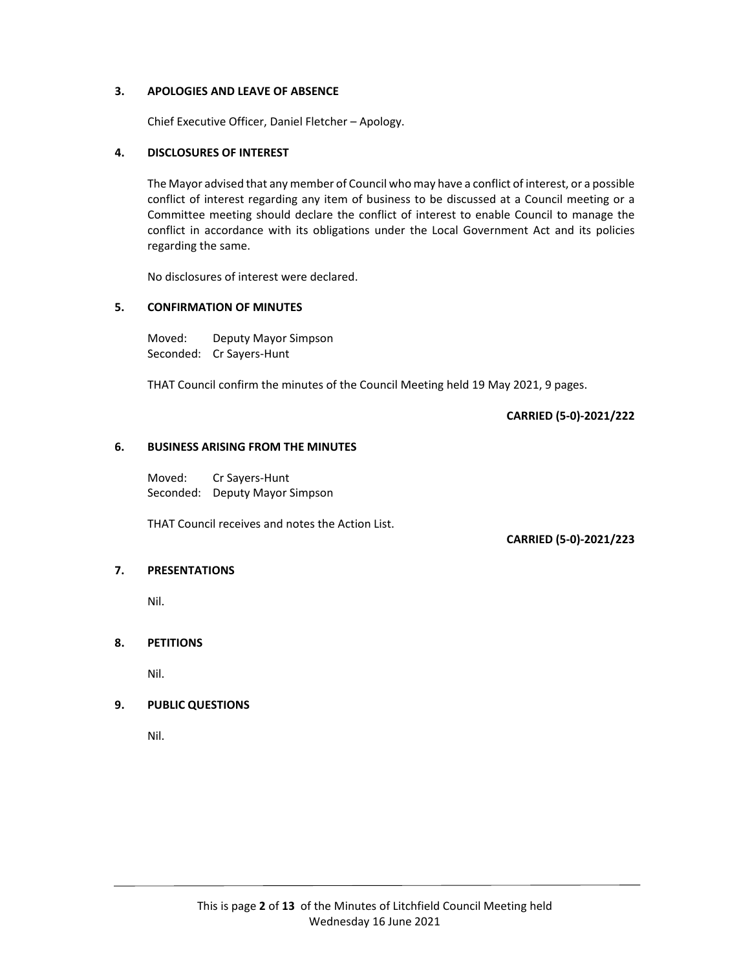## **3. APOLOGIES AND LEAVE OF ABSENCE**

Chief Executive Officer, Daniel Fletcher – Apology.

## **4. DISCLOSURES OF INTEREST**

The Mayor advised that any member of Council who may have a conflict of interest, or a possible conflict of interest regarding any item of business to be discussed at a Council meeting or a Committee meeting should declare the conflict of interest to enable Council to manage the conflict in accordance with its obligations under the Local Government Act and its policies regarding the same.

No disclosures of interest were declared.

## **5. CONFIRMATION OF MINUTES**

Moved: Deputy Mayor Simpson Seconded: Cr Sayers‐Hunt

THAT Council confirm the minutes of the Council Meeting held 19 May 2021, 9 pages.

**CARRIED (5‐0)‐2021/222**

#### **6. BUSINESS ARISING FROM THE MINUTES**

Moved: Cr Sayers‐Hunt Seconded: Deputy Mayor Simpson

THAT Council receives and notes the Action List.

**CARRIED (5‐0)‐2021/223**

## **7. PRESENTATIONS**

Nil.

## **8. PETITIONS**

Nil.

## **9. PUBLIC QUESTIONS**

Nil.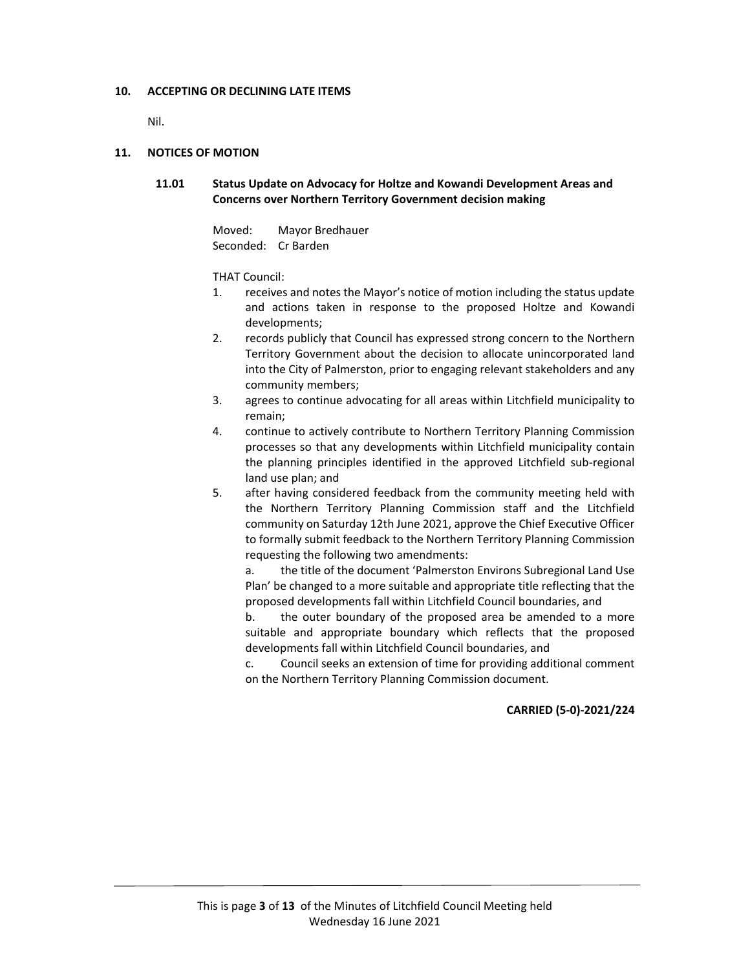## **10. ACCEPTING OR DECLINING LATE ITEMS**

Nil.

## **11. NOTICES OF MOTION**

**11.01 Status Update on Advocacy for Holtze and Kowandi Development Areas and Concerns over Northern Territory Government decision making**

> Moved: Mayor Bredhauer Seconded: Cr Barden

#### THAT Council:

- 1. receives and notes the Mayor's notice of motion including the status update and actions taken in response to the proposed Holtze and Kowandi developments;
- 2. records publicly that Council has expressed strong concern to the Northern Territory Government about the decision to allocate unincorporated land into the City of Palmerston, prior to engaging relevant stakeholders and any community members;
- 3. agrees to continue advocating for all areas within Litchfield municipality to remain;
- 4. continue to actively contribute to Northern Territory Planning Commission processes so that any developments within Litchfield municipality contain the planning principles identified in the approved Litchfield sub‐regional land use plan; and
- 5. after having considered feedback from the community meeting held with the Northern Territory Planning Commission staff and the Litchfield community on Saturday 12th June 2021, approve the Chief Executive Officer to formally submit feedback to the Northern Territory Planning Commission requesting the following two amendments:

a. the title of the document 'Palmerston Environs Subregional Land Use Plan' be changed to a more suitable and appropriate title reflecting that the proposed developments fall within Litchfield Council boundaries, and

b. the outer boundary of the proposed area be amended to a more suitable and appropriate boundary which reflects that the proposed developments fall within Litchfield Council boundaries, and

c. Council seeks an extension of time for providing additional comment on the Northern Territory Planning Commission document.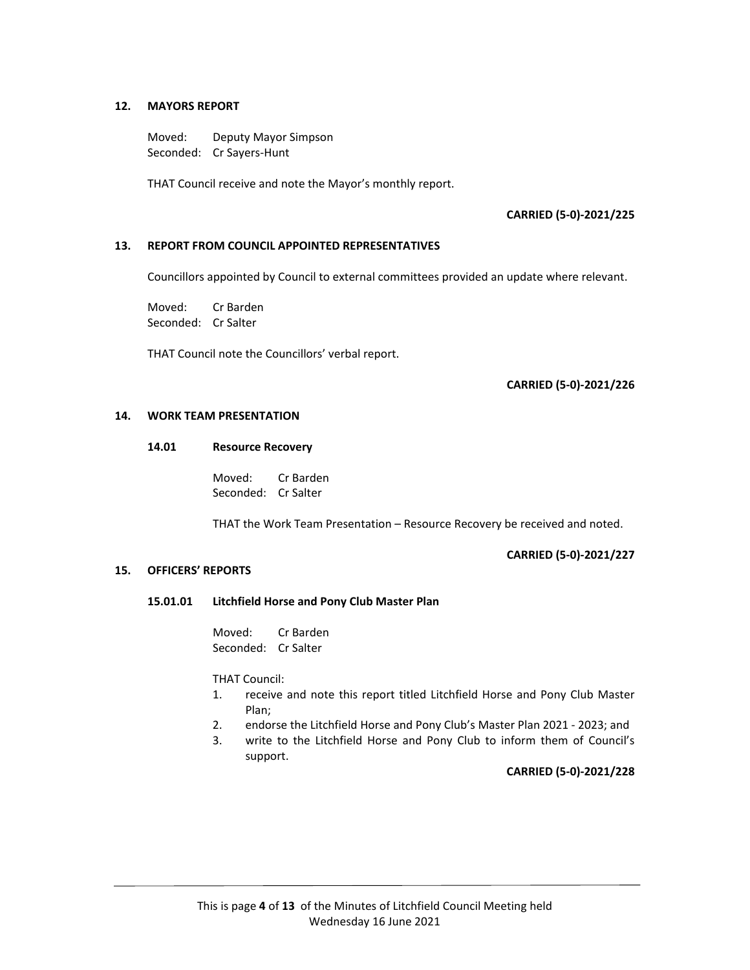## **12. MAYORS REPORT**

Moved: Deputy Mayor Simpson Seconded: Cr Sayers‐Hunt

THAT Council receive and note the Mayor's monthly report.

## **CARRIED (5‐0)‐2021/225**

## **13. REPORT FROM COUNCIL APPOINTED REPRESENTATIVES**

Councillors appointed by Council to external committees provided an update where relevant.

Moved: Cr Barden Seconded: Cr Salter

THAT Council note the Councillors' verbal report.

## **CARRIED (5‐0)‐2021/226**

#### **14. WORK TEAM PRESENTATION**

#### **14.01 Resource Recovery**

 Moved: Cr Barden Seconded: Cr Salter

THAT the Work Team Presentation – Resource Recovery be received and noted.

#### **CARRIED (5‐0)‐2021/227**

#### **15. OFFICERS' REPORTS**

#### **15.01.01 Litchfield Horse and Pony Club Master Plan**

 Moved: Cr Barden Seconded: Cr Salter

THAT Council:

- 1. receive and note this report titled Litchfield Horse and Pony Club Master Plan;
- 2. endorse the Litchfield Horse and Pony Club's Master Plan 2021 ‐ 2023; and
- 3. write to the Litchfield Horse and Pony Club to inform them of Council's support.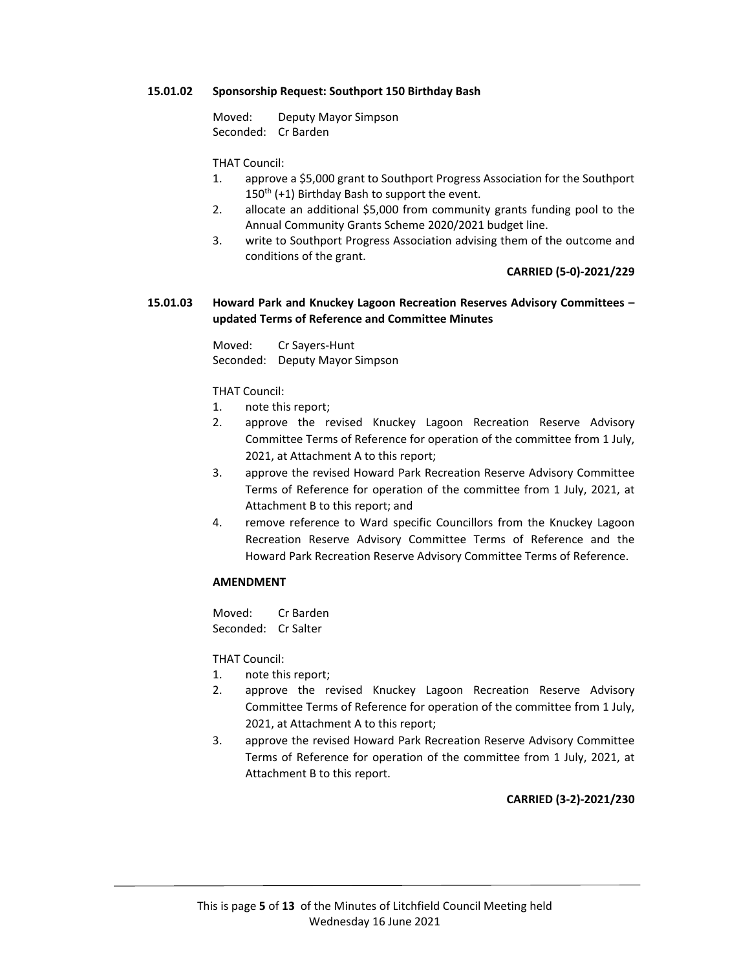## **15.01.02 Sponsorship Request: Southport 150 Birthday Bash**

 Moved: Deputy Mayor Simpson Seconded: Cr Barden

THAT Council:

- 1. approve a \$5,000 grant to Southport Progress Association for the Southport  $150<sup>th</sup>$  (+1) Birthday Bash to support the event.
- 2. allocate an additional \$5,000 from community grants funding pool to the Annual Community Grants Scheme 2020/2021 budget line.
- 3. write to Southport Progress Association advising them of the outcome and conditions of the grant.

**CARRIED (5‐0)‐2021/229**

## **15.01.03 Howard Park and Knuckey Lagoon Recreation Reserves Advisory Committees – updated Terms of Reference and Committee Minutes**

 Moved: Cr Sayers‐Hunt Seconded: Deputy Mayor Simpson

THAT Council:

- 1. note this report;
- 2. approve the revised Knuckey Lagoon Recreation Reserve Advisory Committee Terms of Reference for operation of the committee from 1 July, 2021, at Attachment A to this report;
- 3. approve the revised Howard Park Recreation Reserve Advisory Committee Terms of Reference for operation of the committee from 1 July, 2021, at Attachment B to this report; and
- 4. remove reference to Ward specific Councillors from the Knuckey Lagoon Recreation Reserve Advisory Committee Terms of Reference and the Howard Park Recreation Reserve Advisory Committee Terms of Reference.

#### **AMENDMENT**

Moved: Cr Barden Seconded: Cr Salter

THAT Council:

- 1. note this report;
- 2. approve the revised Knuckey Lagoon Recreation Reserve Advisory Committee Terms of Reference for operation of the committee from 1 July, 2021, at Attachment A to this report;
- 3. approve the revised Howard Park Recreation Reserve Advisory Committee Terms of Reference for operation of the committee from 1 July, 2021, at Attachment B to this report.

**CARRIED (3‐2)‐2021/230**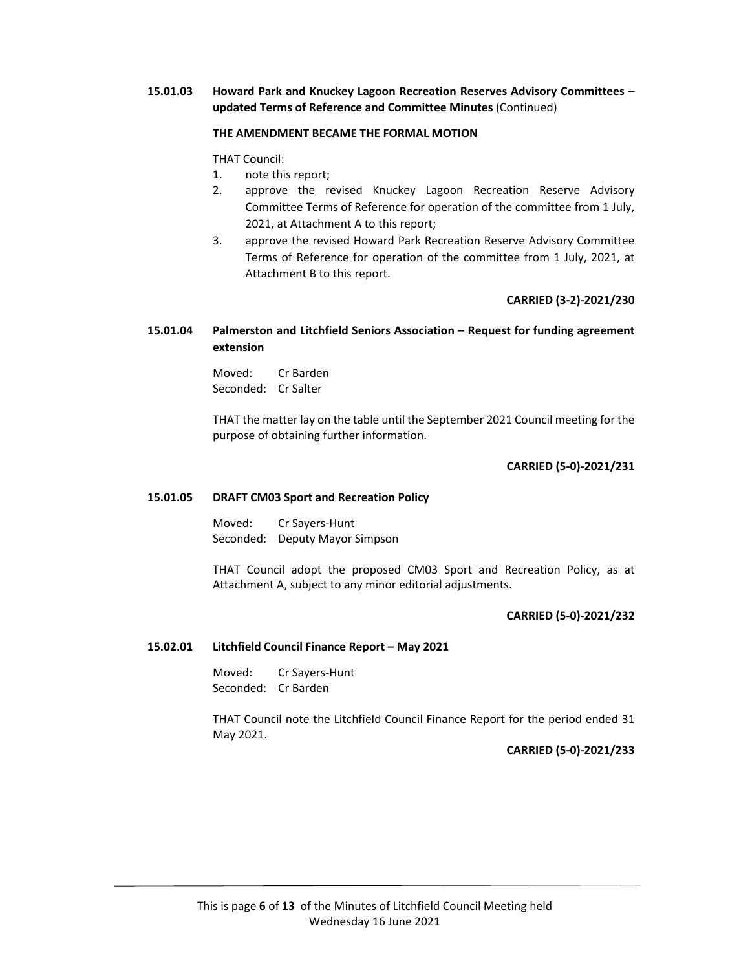## **15.01.03 Howard Park and Knuckey Lagoon Recreation Reserves Advisory Committees – updated Terms of Reference and Committee Minutes** (Continued)

## **THE AMENDMENT BECAME THE FORMAL MOTION**

THAT Council:

- 1. note this report;
- 2. approve the revised Knuckey Lagoon Recreation Reserve Advisory Committee Terms of Reference for operation of the committee from 1 July, 2021, at Attachment A to this report;
- 3. approve the revised Howard Park Recreation Reserve Advisory Committee Terms of Reference for operation of the committee from 1 July, 2021, at Attachment B to this report.

## **CARRIED (3‐2)‐2021/230**

## **15.01.04 Palmerston and Litchfield Seniors Association – Request for funding agreement extension**

 Moved: Cr Barden Seconded: Cr Salter

 THAT the matter lay on the table until the September 2021 Council meeting for the purpose of obtaining further information.

**CARRIED (5‐0)‐2021/231**

#### **15.01.05 DRAFT CM03 Sport and Recreation Policy**

 Moved: Cr Sayers‐Hunt Seconded: Deputy Mayor Simpson

THAT Council adopt the proposed CM03 Sport and Recreation Policy, as at Attachment A, subject to any minor editorial adjustments.

## **CARRIED (5‐0)‐2021/232**

## **15.02.01 Litchfield Council Finance Report – May 2021**

 Moved: Cr Sayers‐Hunt Seconded: Cr Barden

THAT Council note the Litchfield Council Finance Report for the period ended 31 May 2021.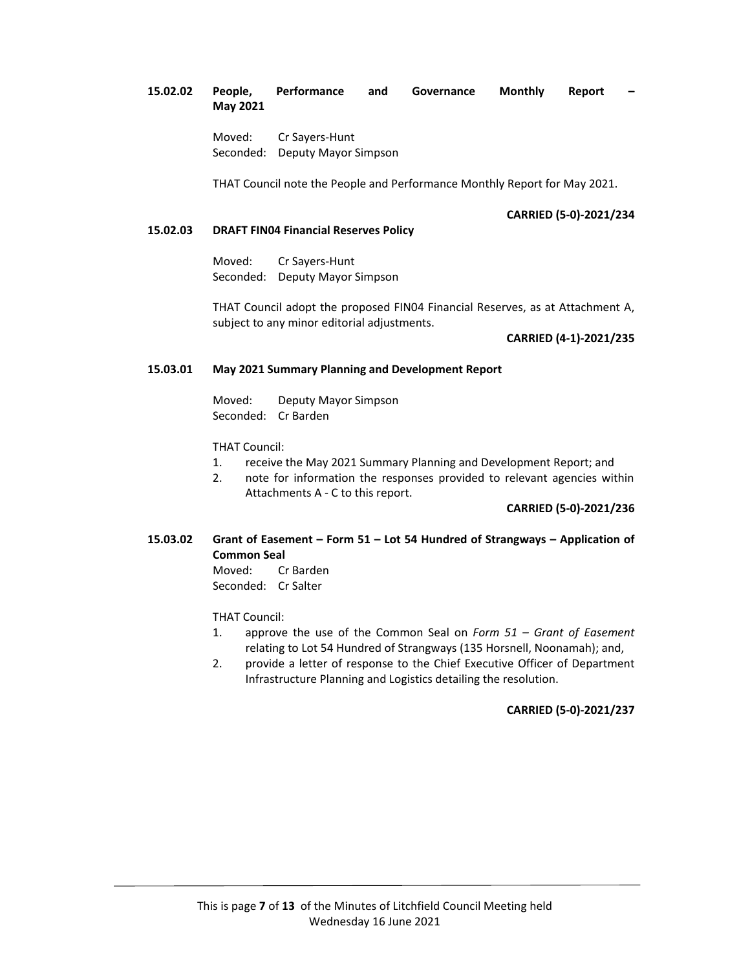## **15.02.02 People, Performance and Governance Monthly Report – May 2021**

 Moved: Cr Sayers‐Hunt Seconded: Deputy Mayor Simpson

THAT Council note the People and Performance Monthly Report for May 2021.

## **CARRIED (5‐0)‐2021/234**

## **15.02.03 DRAFT FIN04 Financial Reserves Policy**

 Moved: Cr Sayers‐Hunt Seconded: Deputy Mayor Simpson

THAT Council adopt the proposed FIN04 Financial Reserves, as at Attachment A, subject to any minor editorial adjustments.

## **CARRIED (4‐1)‐2021/235**

## **15.03.01 May 2021 Summary Planning and Development Report**

Moved: Deputy Mayor Simpson Seconded: Cr Barden

THAT Council:

- 1. receive the May 2021 Summary Planning and Development Report; and
- 2. note for information the responses provided to relevant agencies within Attachments A ‐ C to this report.

**CARRIED (5‐0)‐2021/236**

## **15.03.02 Grant of Easement – Form 51 – Lot 54 Hundred of Strangways – Application of Common Seal**

Moved: Cr Barden Seconded: Cr Salter

THAT Council:

- 1. approve the use of the Common Seal on *Form 51 – Grant of Easement* relating to Lot 54 Hundred of Strangways (135 Horsnell, Noonamah); and,
- 2. provide a letter of response to the Chief Executive Officer of Department Infrastructure Planning and Logistics detailing the resolution.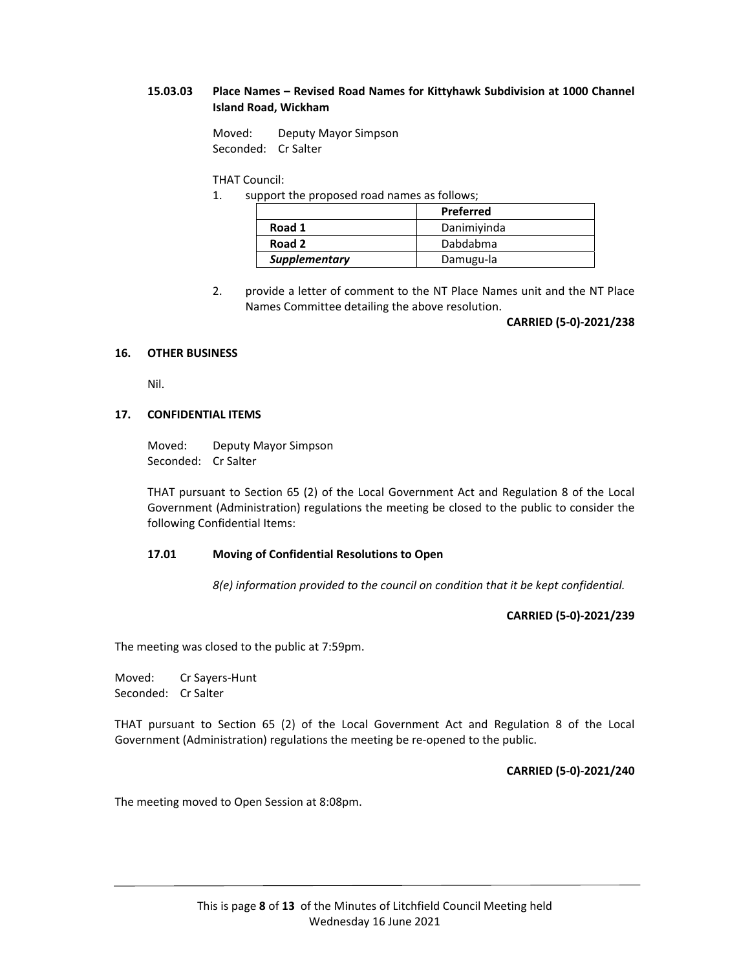## **15.03.03 Place Names – Revised Road Names for Kittyhawk Subdivision at 1000 Channel Island Road, Wickham**

Moved: Deputy Mayor Simpson Seconded: Cr Salter

## THAT Council:

1. support the proposed road names as follows;

|               | Preferred   |
|---------------|-------------|
| Road 1        | Danimiyinda |
| Road 2        | Dabdabma    |
| Supplementary | Damugu-la   |

2. provide a letter of comment to the NT Place Names unit and the NT Place Names Committee detailing the above resolution.

**CARRIED (5‐0)‐2021/238**

## **16. OTHER BUSINESS**

Nil.

## **17. CONFIDENTIAL ITEMS**

Moved: Deputy Mayor Simpson Seconded: Cr Salter

THAT pursuant to Section 65 (2) of the Local Government Act and Regulation 8 of the Local Government (Administration) regulations the meeting be closed to the public to consider the following Confidential Items:

## **17.01 Moving of Confidential Resolutions to Open**

*8(e) information provided to the council on condition that it be kept confidential.* 

**CARRIED (5‐0)‐2021/239**

The meeting was closed to the public at 7:59pm.

Moved: Cr Sayers‐Hunt Seconded: Cr Salter

THAT pursuant to Section 65 (2) of the Local Government Act and Regulation 8 of the Local Government (Administration) regulations the meeting be re‐opened to the public.

**CARRIED (5‐0)‐2021/240**

The meeting moved to Open Session at 8:08pm.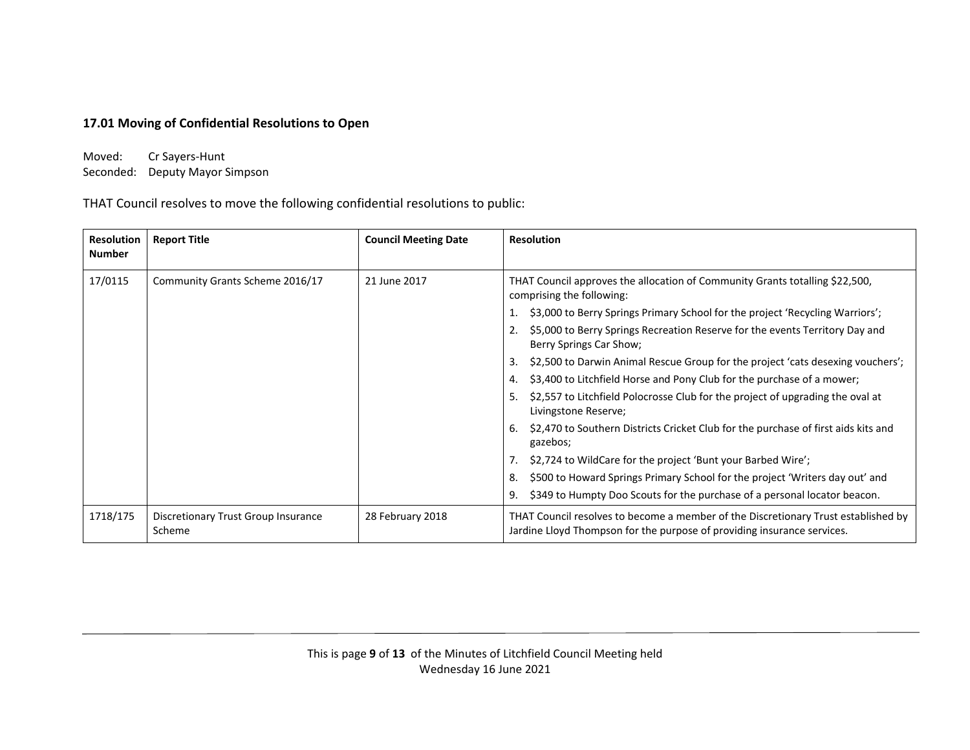## **17.01 Moving of Confidential Resolutions to Open**

Moved: Cr Sayers‐Hunt Seconded: Deputy Mayor Simpson

THAT Council resolves to move the following confidential resolutions to public:

| <b>Resolution</b><br><b>Number</b> | <b>Report Title</b>                           | <b>Council Meeting Date</b> | <b>Resolution</b>                                                                                                                                             |
|------------------------------------|-----------------------------------------------|-----------------------------|---------------------------------------------------------------------------------------------------------------------------------------------------------------|
|                                    |                                               |                             |                                                                                                                                                               |
| 17/0115                            | Community Grants Scheme 2016/17               | 21 June 2017                | THAT Council approves the allocation of Community Grants totalling \$22,500,<br>comprising the following:                                                     |
|                                    |                                               |                             | \$3,000 to Berry Springs Primary School for the project 'Recycling Warriors';                                                                                 |
|                                    |                                               |                             | \$5,000 to Berry Springs Recreation Reserve for the events Territory Day and<br>2.<br>Berry Springs Car Show;                                                 |
|                                    |                                               |                             | \$2,500 to Darwin Animal Rescue Group for the project 'cats desexing vouchers';<br>3.                                                                         |
|                                    |                                               |                             | \$3,400 to Litchfield Horse and Pony Club for the purchase of a mower;<br>4.                                                                                  |
|                                    |                                               |                             | \$2,557 to Litchfield Polocrosse Club for the project of upgrading the oval at<br>5.<br>Livingstone Reserve;                                                  |
|                                    |                                               |                             | \$2,470 to Southern Districts Cricket Club for the purchase of first aids kits and<br>6.<br>gazebos;                                                          |
|                                    |                                               |                             | \$2,724 to WildCare for the project 'Bunt your Barbed Wire';                                                                                                  |
|                                    |                                               |                             | \$500 to Howard Springs Primary School for the project 'Writers day out' and<br>8.                                                                            |
|                                    |                                               |                             | \$349 to Humpty Doo Scouts for the purchase of a personal locator beacon.<br>9.                                                                               |
| 1718/175                           | Discretionary Trust Group Insurance<br>Scheme | 28 February 2018            | THAT Council resolves to become a member of the Discretionary Trust established by<br>Jardine Lloyd Thompson for the purpose of providing insurance services. |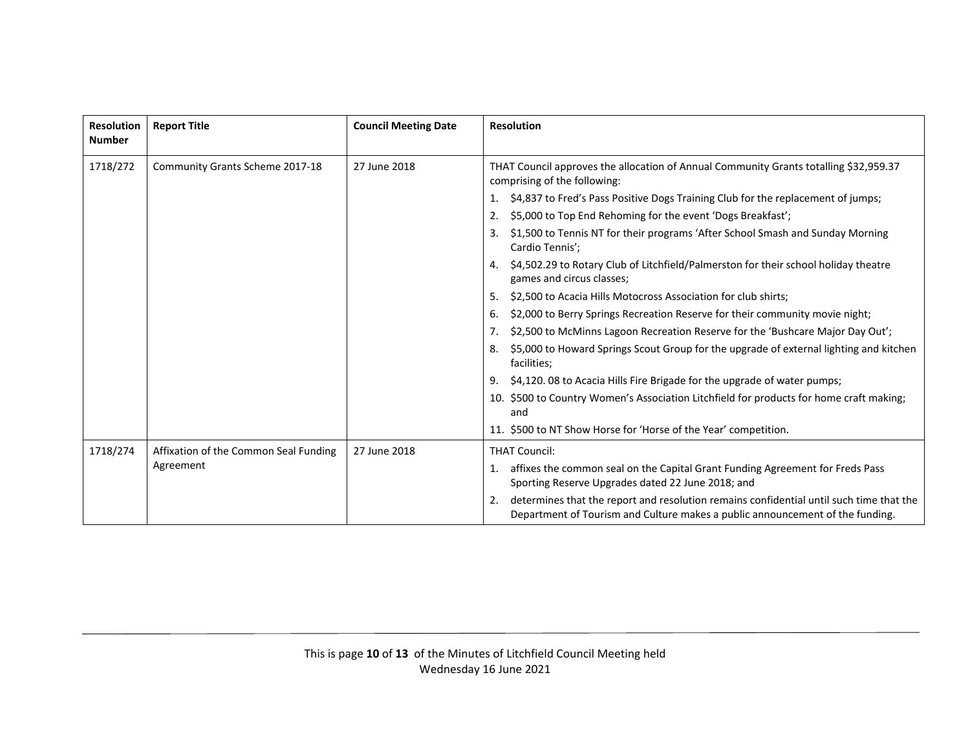| <b>Resolution</b><br><b>Number</b> | <b>Report Title</b>                                | <b>Council Meeting Date</b> | <b>Resolution</b>                                                                                                                                                              |
|------------------------------------|----------------------------------------------------|-----------------------------|--------------------------------------------------------------------------------------------------------------------------------------------------------------------------------|
| 1718/272                           | Community Grants Scheme 2017-18                    | 27 June 2018                | THAT Council approves the allocation of Annual Community Grants totalling \$32,959.37<br>comprising of the following:                                                          |
|                                    |                                                    |                             | \$4,837 to Fred's Pass Positive Dogs Training Club for the replacement of jumps;<br>1.                                                                                         |
|                                    |                                                    |                             | \$5,000 to Top End Rehoming for the event 'Dogs Breakfast';<br>2.                                                                                                              |
|                                    |                                                    |                             | \$1,500 to Tennis NT for their programs 'After School Smash and Sunday Morning<br>Cardio Tennis';                                                                              |
|                                    |                                                    |                             | \$4,502.29 to Rotary Club of Litchfield/Palmerston for their school holiday theatre<br>4.<br>games and circus classes;                                                         |
|                                    |                                                    |                             | \$2,500 to Acacia Hills Motocross Association for club shirts;<br>5.                                                                                                           |
|                                    |                                                    |                             | \$2,000 to Berry Springs Recreation Reserve for their community movie night;<br>6.                                                                                             |
|                                    |                                                    |                             | \$2,500 to McMinns Lagoon Recreation Reserve for the 'Bushcare Major Day Out';<br>7.                                                                                           |
|                                    |                                                    |                             | \$5,000 to Howard Springs Scout Group for the upgrade of external lighting and kitchen<br>8.<br>facilities;                                                                    |
|                                    |                                                    |                             | \$4,120.08 to Acacia Hills Fire Brigade for the upgrade of water pumps;<br>9.                                                                                                  |
|                                    |                                                    |                             | 10. \$500 to Country Women's Association Litchfield for products for home craft making;<br>and                                                                                 |
|                                    |                                                    |                             | 11. \$500 to NT Show Horse for 'Horse of the Year' competition.                                                                                                                |
| 1718/274                           | Affixation of the Common Seal Funding<br>Agreement | 27 June 2018                | <b>THAT Council:</b>                                                                                                                                                           |
|                                    |                                                    |                             | affixes the common seal on the Capital Grant Funding Agreement for Freds Pass<br>1.<br>Sporting Reserve Upgrades dated 22 June 2018; and                                       |
|                                    |                                                    |                             | determines that the report and resolution remains confidential until such time that the<br>2.<br>Department of Tourism and Culture makes a public announcement of the funding. |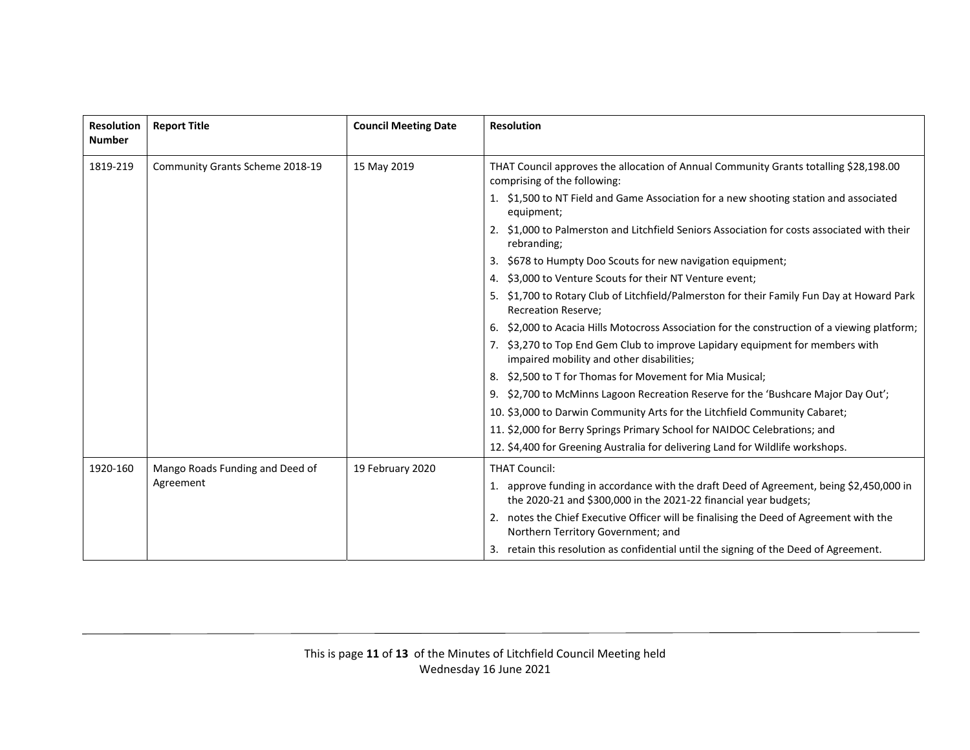| Resolution<br><b>Number</b> | <b>Report Title</b>                          | <b>Council Meeting Date</b> | <b>Resolution</b>                                                                                                                                           |
|-----------------------------|----------------------------------------------|-----------------------------|-------------------------------------------------------------------------------------------------------------------------------------------------------------|
| 1819-219                    | Community Grants Scheme 2018-19              | 15 May 2019                 | THAT Council approves the allocation of Annual Community Grants totalling \$28,198.00<br>comprising of the following:                                       |
|                             |                                              |                             | 1. \$1,500 to NT Field and Game Association for a new shooting station and associated<br>equipment;                                                         |
|                             |                                              |                             | \$1,000 to Palmerston and Litchfield Seniors Association for costs associated with their<br>2.<br>rebranding;                                               |
|                             |                                              |                             | \$678 to Humpty Doo Scouts for new navigation equipment;<br>3.                                                                                              |
|                             |                                              |                             | \$3,000 to Venture Scouts for their NT Venture event;<br>4.                                                                                                 |
|                             |                                              |                             | 5. \$1,700 to Rotary Club of Litchfield/Palmerston for their Family Fun Day at Howard Park<br><b>Recreation Reserve:</b>                                    |
|                             |                                              |                             | \$2,000 to Acacia Hills Motocross Association for the construction of a viewing platform;<br>6.                                                             |
|                             |                                              |                             | \$3,270 to Top End Gem Club to improve Lapidary equipment for members with<br>impaired mobility and other disabilities;                                     |
|                             |                                              |                             | \$2,500 to T for Thomas for Movement for Mia Musical;<br>8.                                                                                                 |
|                             |                                              |                             | 9. \$2,700 to McMinns Lagoon Recreation Reserve for the 'Bushcare Major Day Out';                                                                           |
|                             |                                              |                             | 10. \$3,000 to Darwin Community Arts for the Litchfield Community Cabaret;                                                                                  |
|                             |                                              |                             | 11. \$2,000 for Berry Springs Primary School for NAIDOC Celebrations; and                                                                                   |
|                             |                                              |                             | 12. \$4,400 for Greening Australia for delivering Land for Wildlife workshops.                                                                              |
| 1920-160                    | Mango Roads Funding and Deed of<br>Agreement | 19 February 2020            | <b>THAT Council:</b>                                                                                                                                        |
|                             |                                              |                             | 1. approve funding in accordance with the draft Deed of Agreement, being \$2,450,000 in<br>the 2020-21 and \$300,000 in the 2021-22 financial year budgets; |
|                             |                                              |                             | notes the Chief Executive Officer will be finalising the Deed of Agreement with the<br>Northern Territory Government; and                                   |
|                             |                                              |                             | retain this resolution as confidential until the signing of the Deed of Agreement.                                                                          |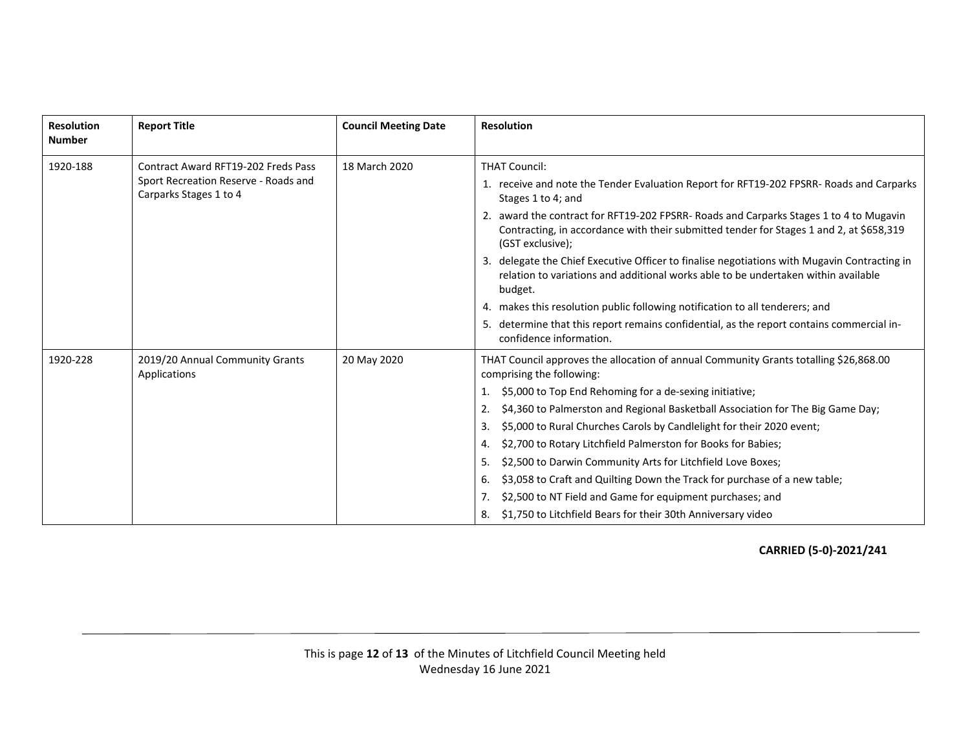| <b>Resolution</b><br><b>Number</b> | <b>Report Title</b>                                                                                          | <b>Council Meeting Date</b> | <b>Resolution</b>                                                                                                                                                                                                                                                                                                                                                                                                                                                                                                                                                                                                                                                                                                                                     |
|------------------------------------|--------------------------------------------------------------------------------------------------------------|-----------------------------|-------------------------------------------------------------------------------------------------------------------------------------------------------------------------------------------------------------------------------------------------------------------------------------------------------------------------------------------------------------------------------------------------------------------------------------------------------------------------------------------------------------------------------------------------------------------------------------------------------------------------------------------------------------------------------------------------------------------------------------------------------|
| 1920-188                           | <b>Contract Award RFT19-202 Freds Pass</b><br>Sport Recreation Reserve - Roads and<br>Carparks Stages 1 to 4 | 18 March 2020               | <b>THAT Council:</b><br>1. receive and note the Tender Evaluation Report for RFT19-202 FPSRR- Roads and Carparks<br>Stages 1 to 4; and<br>2. award the contract for RFT19-202 FPSRR- Roads and Carparks Stages 1 to 4 to Mugavin<br>Contracting, in accordance with their submitted tender for Stages 1 and 2, at \$658,319<br>(GST exclusive);<br>3. delegate the Chief Executive Officer to finalise negotiations with Mugavin Contracting in<br>relation to variations and additional works able to be undertaken within available<br>budget.<br>4. makes this resolution public following notification to all tenderers; and<br>determine that this report remains confidential, as the report contains commercial in-<br>confidence information. |
| 1920-228                           | 2019/20 Annual Community Grants<br>Applications                                                              | 20 May 2020                 | THAT Council approves the allocation of annual Community Grants totalling \$26,868.00<br>comprising the following:<br>\$5,000 to Top End Rehoming for a de-sexing initiative;<br>\$4,360 to Palmerston and Regional Basketball Association for The Big Game Day;<br>2.<br>\$5,000 to Rural Churches Carols by Candlelight for their 2020 event;<br>3.<br>\$2,700 to Rotary Litchfield Palmerston for Books for Babies;<br>4.<br>\$2,500 to Darwin Community Arts for Litchfield Love Boxes;<br>5.<br>\$3,058 to Craft and Quilting Down the Track for purchase of a new table;<br>6.<br>\$2,500 to NT Field and Game for equipment purchases; and<br>\$1,750 to Litchfield Bears for their 30th Anniversary video<br>8.                               |